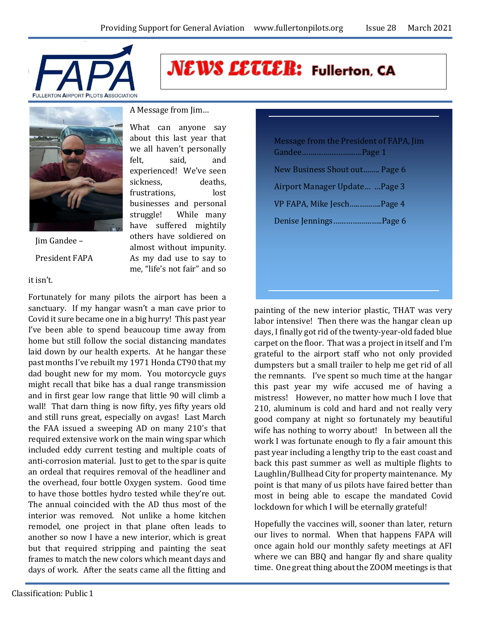

**NEWS LETTER: Fullerton, CA** 



Jim Gandee – President FAPA

#### it isn't.

Fortunately for many pilots the airport has been a sanctuary. If my hangar wasn't a man cave prior to Covid it sure became one in a big hurry! This past year I've been able to spend beaucoup time away from home but still follow the social distancing mandates laid down by our health experts. At he hangar these past months I've rebuilt my 1971 Honda CT90 that my dad bought new for my mom. You motorcycle guys might recall that bike has a dual range transmission and in first gear low range that little 90 will climb a wall! That darn thing is now fifty, yes fifty years old and still runs great, especially on avgas! Last March the FAA issued a sweeping AD on many 210's that required extensive work on the main wing spar which included eddy current testing and multiple coats of anti-corrosion material. Just to get to the spar is quite an ordeal that requires removal of the headliner and the overhead, four bottle Oxygen system. Good time to have those bottles hydro tested while they're out. The annual coincided with the AD thus most of the interior was removed. Not unlike a home kitchen remodel, one project in that plane often leads to another so now I have a new interior, which is great but that required stripping and painting the seat frames to match the new colors which meant days and days of work. After the seats came all the fitting and

What can anyone say

about this last year that we all haven't personally felt, said, and experienced! We've seen sickness, deaths, frustrations, lost businesses and personal struggle! While many have suffered mightily others have soldiered on almost without impunity. As my dad use to say to me, "life's not fair" and so Message from the President of FAPA, Jim Gandee…….…………………Page 1 New Business Shout out…….. Page 6 Airport Manager Update… …Page 3 VP FAPA, Mike Jesch…..……….Page 4 Denise Jennings…………………..Page 6

painting of the new interior plastic, THAT was very labor intensive! Then there was the hangar clean up days, I finally got rid of the twenty-year-old faded blue carpet on the floor. That was a project in itself and I'm grateful to the airport staff who not only provided dumpsters but a small trailer to help me get rid of all the remnants. I've spent so much time at the hangar this past year my wife accused me of having a mistress! However, no matter how much I love that 210, aluminum is cold and hard and not really very good company at night so fortunately my beautiful wife has nothing to worry about! In between all the work I was fortunate enough to fly a fair amount this past year including a lengthy trip to the east coast and back this past summer as well as multiple flights to Laughlin/Bullhead City for property maintenance. My point is that many of us pilots have faired better than most in being able to escape the mandated Covid lockdown for which I will be eternally grateful!

Hopefully the vaccines will, sooner than later, return our lives to normal. When that happens FAPA will once again hold our monthly safety meetings at AFI where we can BBQ and hangar fly and share quality time. One great thing about the ZOOM meetings is that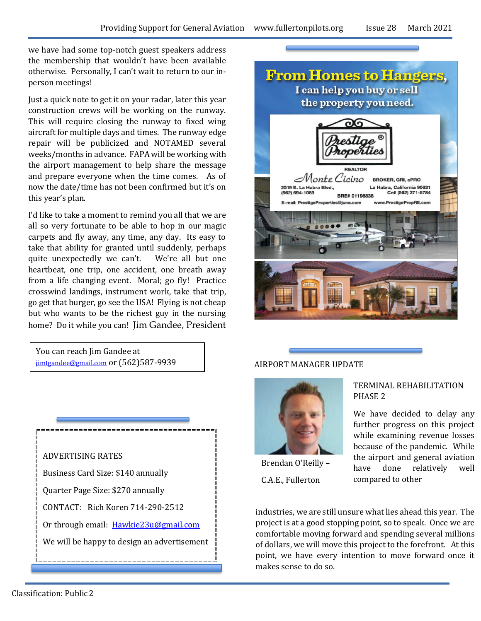we have had some top-notch guest speakers address the membership that wouldn't have been available otherwise. Personally, I can't wait to return to our inperson meetings!

Just a quick note to get it on your radar, later this year construction crews will be working on the runway. This will require closing the runway to fixed wing aircraft for multiple days and times. The runway edge repair will be publicized and NOTAMED several weeks/months in advance. FAPA will be working with the airport management to help share the message and prepare everyone when the time comes. As of now the date/time has not been confirmed but it's on this year's plan.

I'd like to take a moment to remind you all that we are all so very fortunate to be able to hop in our magic carpets and fly away, any time, any day. Its easy to take that ability for granted until suddenly, perhaps quite unexpectedly we can't. We're all but one heartbeat, one trip, one accident, one breath away from a life changing event. Moral; go fly! Practice crosswind landings, instrument work, take that trip, go get that burger, go see the USA! Flying is not cheap but who wants to be the richest guy in the nursing home? Do it while you can! Jim Gandee, President

You can reach Jim Gandee at [jimtgandee@gmail.com](mailto:jimtgandee@gmail.com) or (562)587-9939





### AIRPORT MANAGER UPDATE



Brendan O'Reilly –

C.A.E., Fullerton

#### TERMINAL REHABILITATION PHASE 2

We have decided to delay any further progress on this project while examining revenue losses because of the pandemic. While the airport and general aviation have done relatively well compared to other

industries, we are still unsure what lies ahead this year. The project is at a good stopping point, so to speak. Once we are comfortable moving forward and spending several millions of dollars, we will move this project to the forefront. At this point, we have every intention to move forward once it makes sense to do so.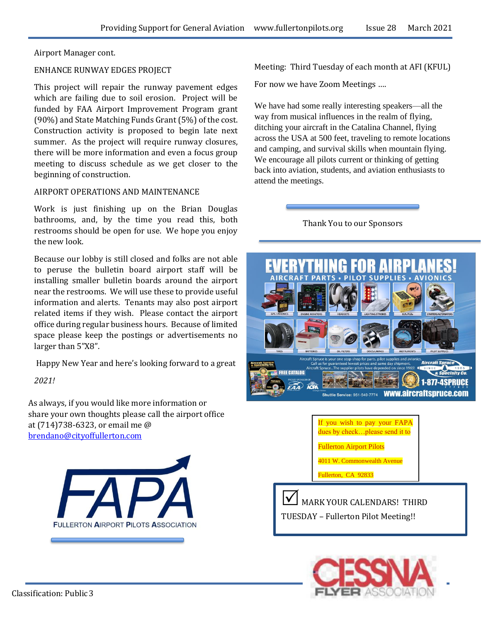Airport Manager cont.

#### ENHANCE RUNWAY EDGES PROJECT

This project will repair the runway pavement edges which are failing due to soil erosion. Project will be funded by FAA Airport Improvement Program grant (90%) and State Matching Funds Grant (5%) of the cost. Construction activity is proposed to begin late next summer. As the project will require runway closures, there will be more information and even a focus group meeting to discuss schedule as we get closer to the beginning of construction.

#### AIRPORT OPERATIONS AND MAINTENANCE

Work is just finishing up on the Brian Douglas bathrooms, and, by the time you read this, both restrooms should be open for use. We hope you enjoy the new look.

Because our lobby is still closed and folks are not able to peruse the bulletin board airport staff will be installing smaller bulletin boards around the airport near the restrooms. We will use these to provide useful information and alerts. Tenants may also post airport related items if they wish. Please contact the airport office during regular business hours. Because of limited space please keep the postings or advertisements no larger than 5"X8".

Happy New Year and here's looking forward to a great

*2021!*

As always, if you would like more information or share your own thoughts please call the airport office at (714)738-6323, or email me @ [brendano@cityoffullerton.com](mailto:brendano@cityoffullerton.com)



Meeting: Third Tuesday of each month at AFI (KFUL)

For now we have Zoom Meetings ….

We have had some really interesting speakers—all the way from musical influences in the realm of flying, ditching your aircraft in the Catalina Channel, flying across the USA at 500 feet, traveling to remote locations and camping, and survival skills when mountain flying. We encourage all pilots current or thinking of getting back into aviation, students, and aviation enthusiasts to attend the meetings.

Thank You to our Sponsors





MARK YOUR CALENDARS! THIRD TUESDAY – Fullerton Pilot Meeting!!

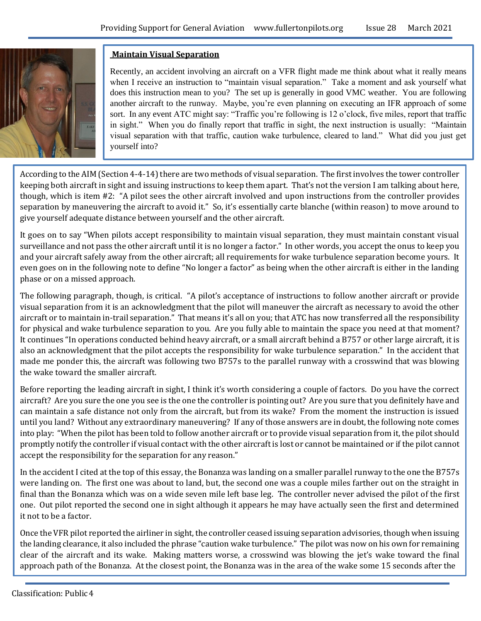

## **Maintain Visual Separation**

Recently, an accident involving an aircraft on a VFR flight made me think about what it really means when I receive an instruction to "maintain visual separation." Take a moment and ask yourself what does this instruction mean to you? The set up is generally in good VMC weather. You are following another aircraft to the runway. Maybe, you're even planning on executing an IFR approach of some sort. In any event ATC might say: "Traffic you're following is 12 o'clock, five miles, report that traffic in sight." When you do finally report that traffic in sight, the next instruction is usually: "Maintain visual separation with that traffic, caution wake turbulence, cleared to land." What did you just get yourself into?

According to the AIM (Section 4-4-14) there are two methods of visual separation. The first involves the tower controller keeping both aircraft in sight and issuing instructions to keep them apart. That's not the version I am talking about here, though, which is item #2: "A pilot sees the other aircraft involved and upon instructions from the controller provides separation by maneuvering the aircraft to avoid it." So, it's essentially carte blanche (within reason) to move around to give yourself adequate distance between yourself and the other aircraft.

It goes on to say "When pilots accept responsibility to maintain visual separation, they must maintain constant visual surveillance and not pass the other aircraft until it is no longer a factor." In other words, you accept the onus to keep you and your aircraft safely away from the other aircraft; all requirements for wake turbulence separation become yours. It even goes on in the following note to define "No longer a factor" as being when the other aircraft is either in the landing phase or on a missed approach.

The following paragraph, though, is critical. "A pilot's acceptance of instructions to follow another aircraft or provide visual separation from it is an acknowledgment that the pilot will maneuver the aircraft as necessary to avoid the other aircraft or to maintain in-trail separation." That means it's all on you; that ATC has now transferred all the responsibility for physical and wake turbulence separation to you. Are you fully able to maintain the space you need at that moment? It continues "In operations conducted behind heavy aircraft, or a small aircraft behind a B757 or other large aircraft, it is also an acknowledgment that the pilot accepts the responsibility for wake turbulence separation." In the accident that made me ponder this, the aircraft was following two B757s to the parallel runway with a crosswind that was blowing the wake toward the smaller aircraft.

Before reporting the leading aircraft in sight, I think it's worth considering a couple of factors. Do you have the correct aircraft? Are you sure the one you see is the one the controller is pointing out? Are you sure that you definitely have and can maintain a safe distance not only from the aircraft, but from its wake? From the moment the instruction is issued until you land? Without any extraordinary maneuvering? If any of those answers are in doubt, the following note comes into play: "When the pilot has been told to follow another aircraft or to provide visual separation from it, the pilot should promptly notify the controller if visual contact with the other aircraft is lost or cannot be maintained or if the pilot cannot accept the responsibility for the separation for any reason."

In the accident I cited at the top of this essay, the Bonanza was landing on a smaller parallel runway to the one the B757s were landing on. The first one was about to land, but, the second one was a couple miles farther out on the straight in final than the Bonanza which was on a wide seven mile left base leg. The controller never advised the pilot of the first one. Out pilot reported the second one in sight although it appears he may have actually seen the first and determined it not to be a factor.

Once the VFR pilot reported the airliner in sight, the controller ceased issuing separation advisories, though when issuing the landing clearance, it also included the phrase "caution wake turbulence." The pilot was now on his own for remaining clear of the aircraft and its wake. Making matters worse, a crosswind was blowing the jet's wake toward the final approach path of the Bonanza. At the closest point, the Bonanza was in the area of the wake some 15 seconds after the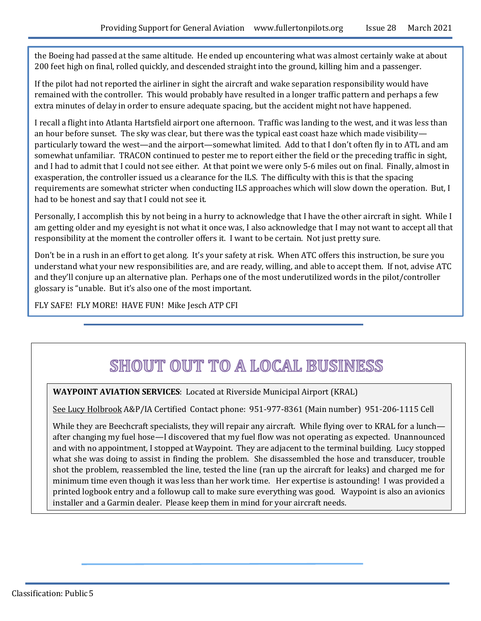the Boeing had passed at the same altitude. He ended up encountering what was almost certainly wake at about 200 feet high on final, rolled quickly, and descended straight into the ground, killing him and a passenger.

If the pilot had not reported the airliner in sight the aircraft and wake separation responsibility would have remained with the controller. This would probably have resulted in a longer traffic pattern and perhaps a few extra minutes of delay in order to ensure adequate spacing, but the accident might not have happened.

I recall a flight into Atlanta Hartsfield airport one afternoon. Traffic was landing to the west, and it was less than an hour before sunset. The sky was clear, but there was the typical east coast haze which made visibility particularly toward the west—and the airport—somewhat limited. Add to that I don't often fly in to ATL and am somewhat unfamiliar. TRACON continued to pester me to report either the field or the preceding traffic in sight, and I had to admit that I could not see either. At that point we were only 5-6 miles out on final. Finally, almost in exasperation, the controller issued us a clearance for the ILS. The difficulty with this is that the spacing requirements are somewhat stricter when conducting ILS approaches which will slow down the operation. But, I had to be honest and say that I could not see it.

Personally, I accomplish this by not being in a hurry to acknowledge that I have the other aircraft in sight. While I am getting older and my eyesight is not what it once was, I also acknowledge that I may not want to accept all that responsibility at the moment the controller offers it. I want to be certain. Not just pretty sure.

Don't be in a rush in an effort to get along. It's your safety at risk. When ATC offers this instruction, be sure you understand what your new responsibilities are, and are ready, willing, and able to accept them. If not, advise ATC and they'll conjure up an alternative plan. Perhaps one of the most underutilized words in the pilot/controller glossary is "unable. But it's also one of the most important.

FLY SAFE! FLY MORE! HAVE FUN! Mike Jesch ATP CFI

# SHOUT OUT TO A LOCAL BUSINESS

**WAYPOINT AVIATION SERVICES**: Located at Riverside Municipal Airport (KRAL)

See Lucy Holbrook A&P/IA Certified Contact phone: 951-977-8361 (Main number) 951-206-1115 Cell

While they are Beechcraft specialists, they will repair any aircraft. While flying over to KRAL for a lunch after changing my fuel hose—I discovered that my fuel flow was not operating as expected. Unannounced and with no appointment, I stopped at Waypoint. They are adjacent to the terminal building. Lucy stopped what she was doing to assist in finding the problem. She disassembled the hose and transducer, trouble shot the problem, reassembled the line, tested the line (ran up the aircraft for leaks) and charged me for minimum time even though it was less than her work time. Her expertise is astounding! I was provided a printed logbook entry and a followup call to make sure everything was good. Waypoint is also an avionics installer and a Garmin dealer. Please keep them in mind for your aircraft needs.